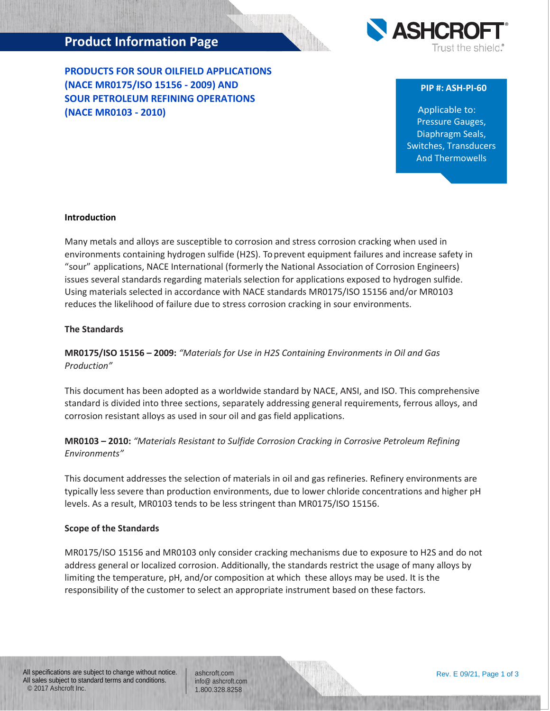# **Product Information Page**

**PRODUCTS FOR SOUR OILFIELD APPLICATIONS (NACE MR0175/ISO 15156 - 2009) AND SOUR PETROLEUM REFINING OPERATIONS (NACE MR0103 - 2010)**



#### **PIP #: ASH-PI-60**

Applicable to: Pressure Gauges, Diaphragm Seals, Switches, Transducers And Thermowells

#### **Introduction**

Many metals and alloys are susceptible to corrosion and stress corrosion cracking when used in environments containing hydrogen sulfide (H2S). To prevent equipment failures and increase safety in "sour" applications, NACE International (formerly the National Association of Corrosion Engineers) issues several standards regarding materials selection for applications exposed to hydrogen sulfide. Using materials selected in accordance with NACE standards MR0175/ISO 15156 and/or MR0103 reduces the likelihood of failure due to stress corrosion cracking in sour environments.

#### **The Standards**

## **MR0175/ISO 15156 – 2009:** *"Materials for Use in H2S Containing Environments in Oil and Gas Production"*

This document has been adopted as a worldwide standard by NACE, ANSI, and ISO. This comprehensive standard is divided into three sections, separately addressing general requirements, ferrous alloys, and corrosion resistant alloys as used in sour oil and gas field applications.

## **MR0103 – 2010:** *"Materials Resistant to Sulfide Corrosion Cracking in Corrosive Petroleum Refining Environments"*

This document addresses the selection of materials in oil and gas refineries. Refinery environments are typically less severe than production environments, due to lower chloride concentrations and higher pH levels. As a result, MR0103 tends to be less stringent than MR0175/ISO 15156.

#### **Scope of the Standards**

MR0175/ISO 15156 and MR0103 only consider cracking mechanisms due to exposure to H2S and do not address general or localized corrosion. Additionally, the standards restrict the usage of many alloys by limiting the temperature, pH, and/or composition at which these alloys may be used. It is the responsibility of the customer to select an appropriate instrument based on these factors.

ashcroft.com [info@ ashcroft.com](mailto:info@ashcroft.com) 1.800.328.8258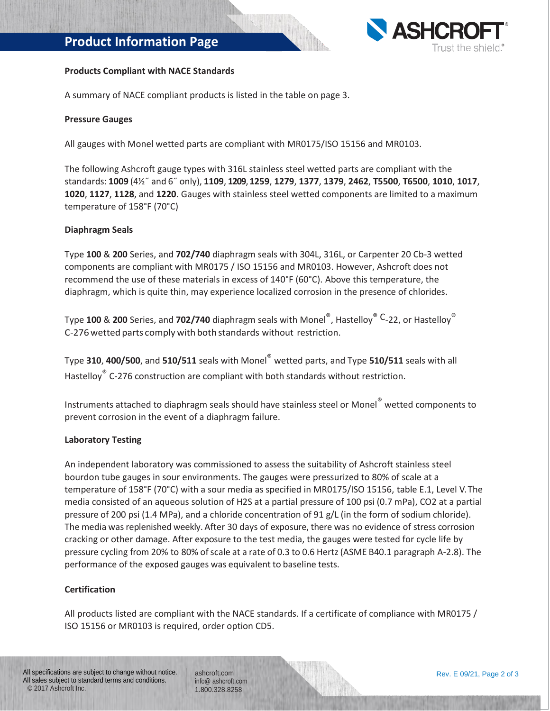# **Product Information Page**



#### **Products Compliant with NACE Standards**

A summary of NACE compliant products is listed in the table on page 3.

#### **Pressure Gauges**

All gauges with Monel wetted parts are compliant with MR0175/ISO 15156 and MR0103.

The following Ashcroft gauge types with 316L stainless steel wetted parts are compliant with the standards: **1009** (4½˝ and 6˝ only), **1109**, **1209**, **1259**, **1279**, **1377**, **1379**, **2462**, **T5500**, **T6500**, **1010**, **1017**, **1020**, **1127**, **1128**, and **1220**. Gauges with stainless steel wetted components are limited to a maximum temperature of 158°F (70°C)

#### **Diaphragm Seals**

Type **100** & **200** Series, and **702/740** diaphragm seals with 304L, 316L, or Carpenter 20 Cb-3 wetted components are compliant with MR0175 / ISO 15156 and MR0103. However, Ashcroft does not recommend the use of these materials in excess of 140°F (60°C). Above this temperature, the diaphragm, which is quite thin, may experience localized corrosion in the presence of chlorides.

Type **100** & **200** Series, and **702/740** diaphragm seals with Monel®, Hastelloy® C-22, or Hastelloy® C-276wetted parts comply with both standards without restriction.

Type **310**, **400/500**, and **510/511** seals with Monel® wetted parts, and Type **510/511** seals with all Hastelloy® C-276 construction are compliant with both standards without restriction.

Instruments attached to diaphragm seals should have stainless steel or Monel® wetted components to prevent corrosion in the event of a diaphragm failure.

#### **Laboratory Testing**

An independent laboratory was commissioned to assess the suitability of Ashcroft stainless steel bourdon tube gauges in sour environments. The gauges were pressurized to 80% of scale at a temperature of 158°F (70°C) with a sour media as specified in MR0175/ISO 15156, table E.1, Level V. The media consisted of an aqueous solution of H2S at a partial pressure of 100 psi (0.7 mPa), CO2 at a partial pressure of 200 psi (1.4 MPa), and a chloride concentration of 91 g/L (in the form of sodium chloride). The media wasreplenished weekly. After 30 days of exposure, there was no evidence of stress corrosion cracking or other damage. After exposure to the test media, the gauges were tested for cycle life by pressure cycling from 20% to 80% of scale at a rate of 0.3 to 0.6 Hertz (ASME B40.1 paragraph A-2.8). The performance of the exposed gauges was equivalent to baseline tests.

### **Certification**

All products listed are compliant with the NACE standards. If a certificate of compliance with MR0175 / ISO 15156 or MR0103 is required, order option CD5.

All specifications are subject to change without notice. All sales subject to standard terms and conditions. © 2017 Ashcroft Inc.

ashcroft.com [info@ ashcroft.com](mailto:info@ashcroft.com) 1.800.328.8258